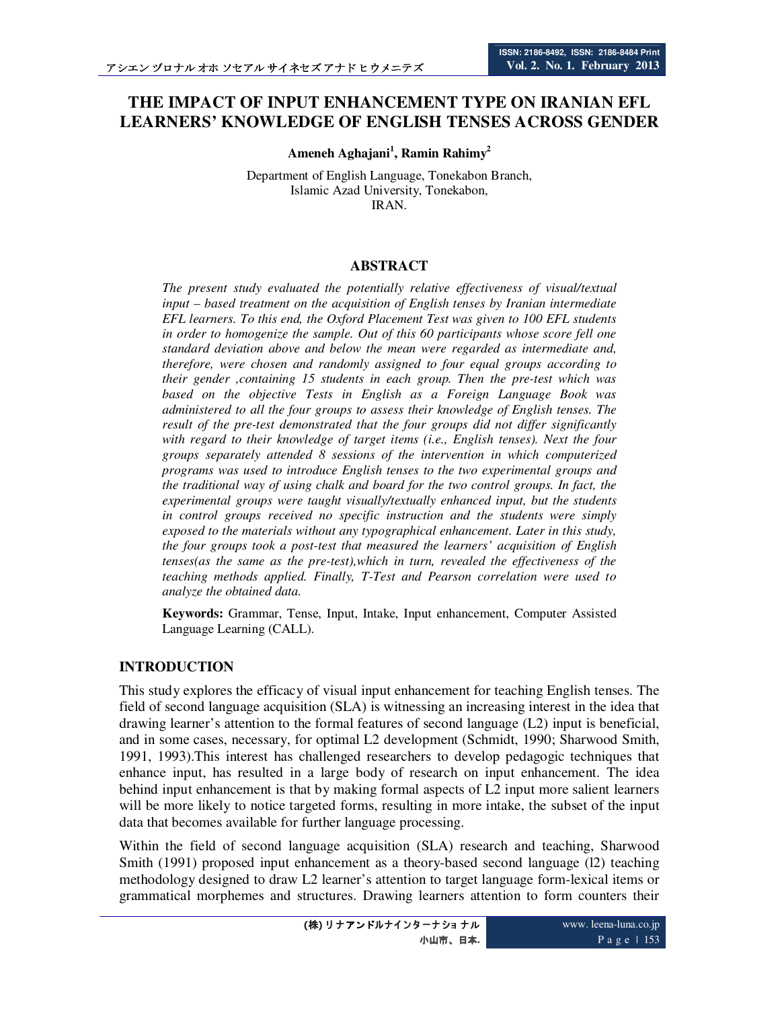# **THE IMPACT OF INPUT ENHANCEMENT TYPE ON IRANIAN EFL LEARNERS' KNOWLEDGE OF ENGLISH TENSES ACROSS GENDER**

**Ameneh Aghajani<sup>1</sup> , Ramin Rahimy<sup>2</sup>**

Department of English Language, Tonekabon Branch, Islamic Azad University, Tonekabon, IRAN.

### **ABSTRACT**

*The present study evaluated the potentially relative effectiveness of visual/textual input – based treatment on the acquisition of English tenses by Iranian intermediate EFL learners. To this end, the Oxford Placement Test was given to 100 EFL students in order to homogenize the sample. Out of this 60 participants whose score fell one standard deviation above and below the mean were regarded as intermediate and, therefore, were chosen and randomly assigned to four equal groups according to their gender ,containing 15 students in each group. Then the pre-test which was based on the objective Tests in English as a Foreign Language Book was administered to all the four groups to assess their knowledge of English tenses. The result of the pre-test demonstrated that the four groups did not differ significantly with regard to their knowledge of target items (i.e., English tenses). Next the four groups separately attended 8 sessions of the intervention in which computerized programs was used to introduce English tenses to the two experimental groups and the traditional way of using chalk and board for the two control groups. In fact, the experimental groups were taught visually/textually enhanced input, but the students in control groups received no specific instruction and the students were simply exposed to the materials without any typographical enhancement. Later in this study, the four groups took a post-test that measured the learners' acquisition of English tenses(as the same as the pre-test),which in turn, revealed the effectiveness of the teaching methods applied. Finally, T-Test and Pearson correlation were used to analyze the obtained data.* 

**Keywords:** Grammar, Tense, Input, Intake, Input enhancement, Computer Assisted Language Learning (CALL).

### **INTRODUCTION**

This study explores the efficacy of visual input enhancement for teaching English tenses. The field of second language acquisition (SLA) is witnessing an increasing interest in the idea that drawing learner's attention to the formal features of second language (L2) input is beneficial, and in some cases, necessary, for optimal L2 development (Schmidt, 1990; Sharwood Smith, 1991, 1993).This interest has challenged researchers to develop pedagogic techniques that enhance input, has resulted in a large body of research on input enhancement. The idea behind input enhancement is that by making formal aspects of L2 input more salient learners will be more likely to notice targeted forms, resulting in more intake, the subset of the input data that becomes available for further language processing.

Within the field of second language acquisition (SLA) research and teaching, Sharwood Smith (1991) proposed input enhancement as a theory-based second language (l2) teaching methodology designed to draw L2 learner's attention to target language form-lexical items or grammatical morphemes and structures. Drawing learners attention to form counters their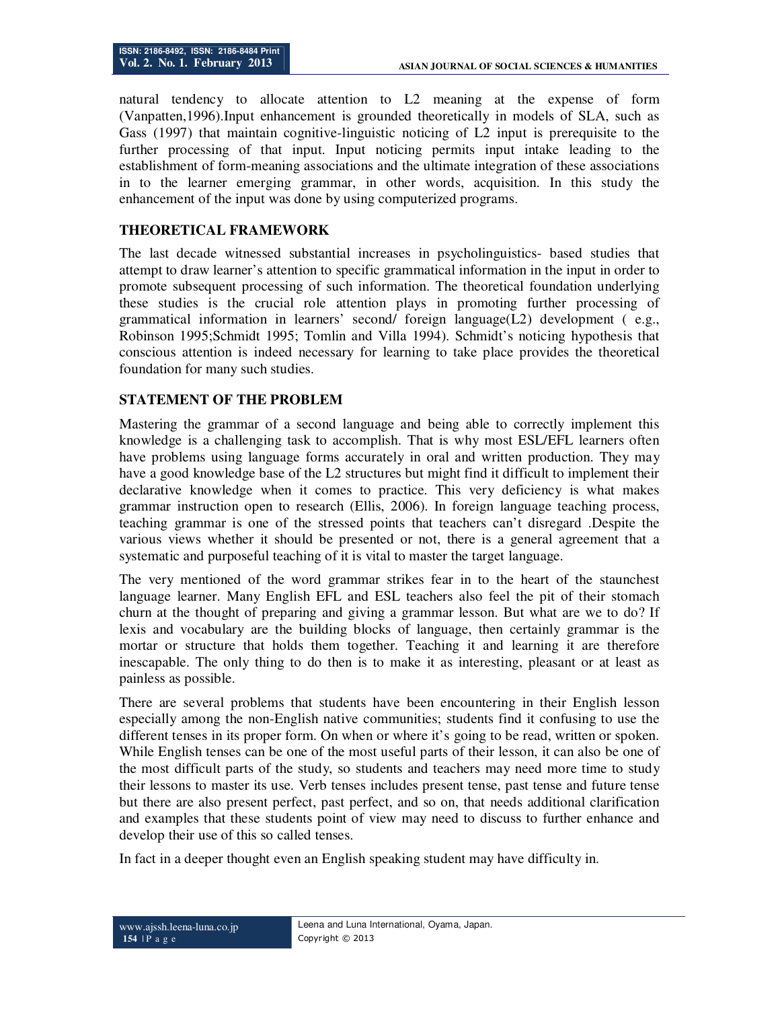natural tendency to allocate attention to L2 meaning at the expense of form (Vanpatten,1996).Input enhancement is grounded theoretically in models of SLA, such as Gass (1997) that maintain cognitive-linguistic noticing of L2 input is prerequisite to the further processing of that input. Input noticing permits input intake leading to the establishment of form-meaning associations and the ultimate integration of these associations in to the learner emerging grammar, in other words, acquisition. In this study the enhancement of the input was done by using computerized programs.

## **THEORETICAL FRAMEWORK**

The last decade witnessed substantial increases in psycholinguistics- based studies that attempt to draw learner's attention to specific grammatical information in the input in order to promote subsequent processing of such information. The theoretical foundation underlying these studies is the crucial role attention plays in promoting further processing of grammatical information in learners' second/ foreign language(L2) development ( e.g., Robinson 1995;Schmidt 1995; Tomlin and Villa 1994). Schmidt's noticing hypothesis that conscious attention is indeed necessary for learning to take place provides the theoretical foundation for many such studies.

### **STATEMENT OF THE PROBLEM**

Mastering the grammar of a second language and being able to correctly implement this knowledge is a challenging task to accomplish. That is why most ESL/EFL learners often have problems using language forms accurately in oral and written production. They may have a good knowledge base of the L2 structures but might find it difficult to implement their declarative knowledge when it comes to practice. This very deficiency is what makes grammar instruction open to research (Ellis, 2006). In foreign language teaching process, teaching grammar is one of the stressed points that teachers can't disregard .Despite the various views whether it should be presented or not, there is a general agreement that a systematic and purposeful teaching of it is vital to master the target language.

The very mentioned of the word grammar strikes fear in to the heart of the staunchest language learner. Many English EFL and ESL teachers also feel the pit of their stomach churn at the thought of preparing and giving a grammar lesson. But what are we to do? If lexis and vocabulary are the building blocks of language, then certainly grammar is the mortar or structure that holds them together. Teaching it and learning it are therefore inescapable. The only thing to do then is to make it as interesting, pleasant or at least as painless as possible.

There are several problems that students have been encountering in their English lesson especially among the non-English native communities; students find it confusing to use the different tenses in its proper form. On when or where it's going to be read, written or spoken. While English tenses can be one of the most useful parts of their lesson, it can also be one of the most difficult parts of the study, so students and teachers may need more time to study their lessons to master its use. Verb tenses includes present tense, past tense and future tense but there are also present perfect, past perfect, and so on, that needs additional clarification and examples that these students point of view may need to discuss to further enhance and develop their use of this so called tenses.

In fact in a deeper thought even an English speaking student may have difficulty in.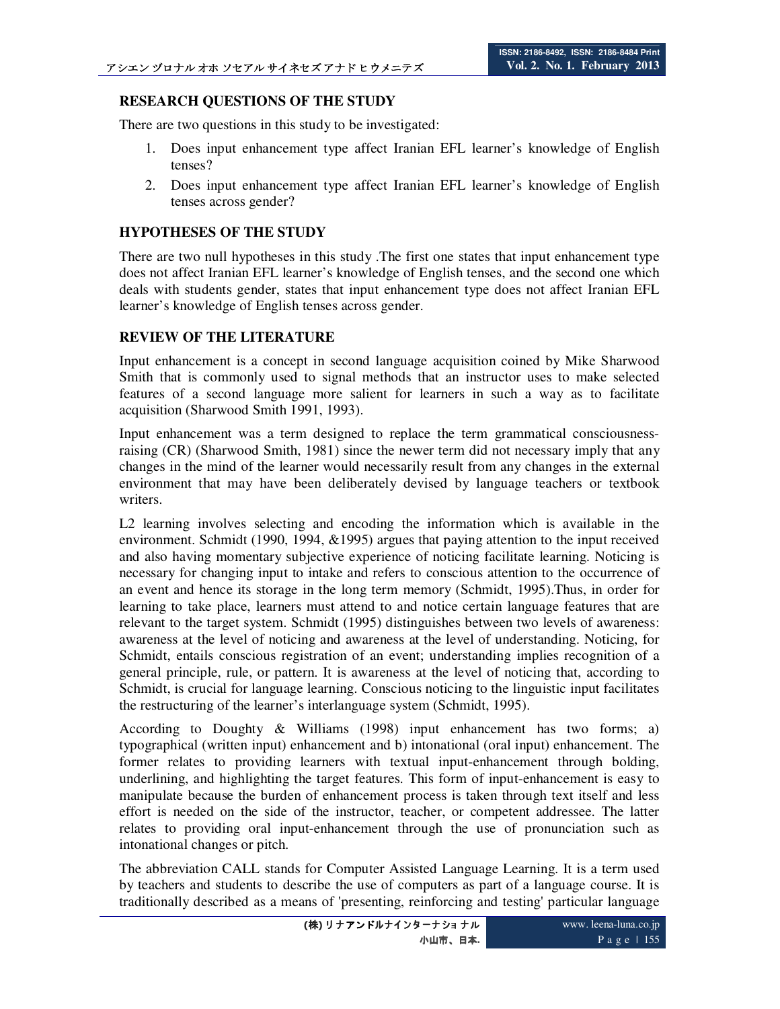## **RESEARCH QUESTIONS OF THE STUDY**

There are two questions in this study to be investigated:

- 1. Does input enhancement type affect Iranian EFL learner's knowledge of English tenses?
- 2. Does input enhancement type affect Iranian EFL learner's knowledge of English tenses across gender?

## **HYPOTHESES OF THE STUDY**

There are two null hypotheses in this study .The first one states that input enhancement type does not affect Iranian EFL learner's knowledge of English tenses, and the second one which deals with students gender, states that input enhancement type does not affect Iranian EFL learner's knowledge of English tenses across gender.

## **REVIEW OF THE LITERATURE**

Input enhancement is a concept in second language acquisition coined by Mike Sharwood Smith that is commonly used to signal methods that an instructor uses to make selected features of a second language more salient for learners in such a way as to facilitate acquisition (Sharwood Smith 1991, 1993).

Input enhancement was a term designed to replace the term grammatical consciousnessraising (CR) (Sharwood Smith, 1981) since the newer term did not necessary imply that any changes in the mind of the learner would necessarily result from any changes in the external environment that may have been deliberately devised by language teachers or textbook writers.

L2 learning involves selecting and encoding the information which is available in the environment. Schmidt (1990, 1994, &1995) argues that paying attention to the input received and also having momentary subjective experience of noticing facilitate learning. Noticing is necessary for changing input to intake and refers to conscious attention to the occurrence of an event and hence its storage in the long term memory (Schmidt, 1995).Thus, in order for learning to take place, learners must attend to and notice certain language features that are relevant to the target system. Schmidt (1995) distinguishes between two levels of awareness: awareness at the level of noticing and awareness at the level of understanding. Noticing, for Schmidt, entails conscious registration of an event; understanding implies recognition of a general principle, rule, or pattern. It is awareness at the level of noticing that, according to Schmidt, is crucial for language learning. Conscious noticing to the linguistic input facilitates the restructuring of the learner's interlanguage system (Schmidt, 1995).

According to Doughty & Williams (1998) input enhancement has two forms; a) typographical (written input) enhancement and b) intonational (oral input) enhancement. The former relates to providing learners with textual input-enhancement through bolding, underlining, and highlighting the target features. This form of input-enhancement is easy to manipulate because the burden of enhancement process is taken through text itself and less effort is needed on the side of the instructor, teacher, or competent addressee. The latter relates to providing oral input-enhancement through the use of pronunciation such as intonational changes or pitch.

The abbreviation CALL stands for Computer Assisted Language Learning. It is a term used by teachers and students to describe the use of computers as part of a language course. It is traditionally described as a means of 'presenting, reinforcing and testing' particular language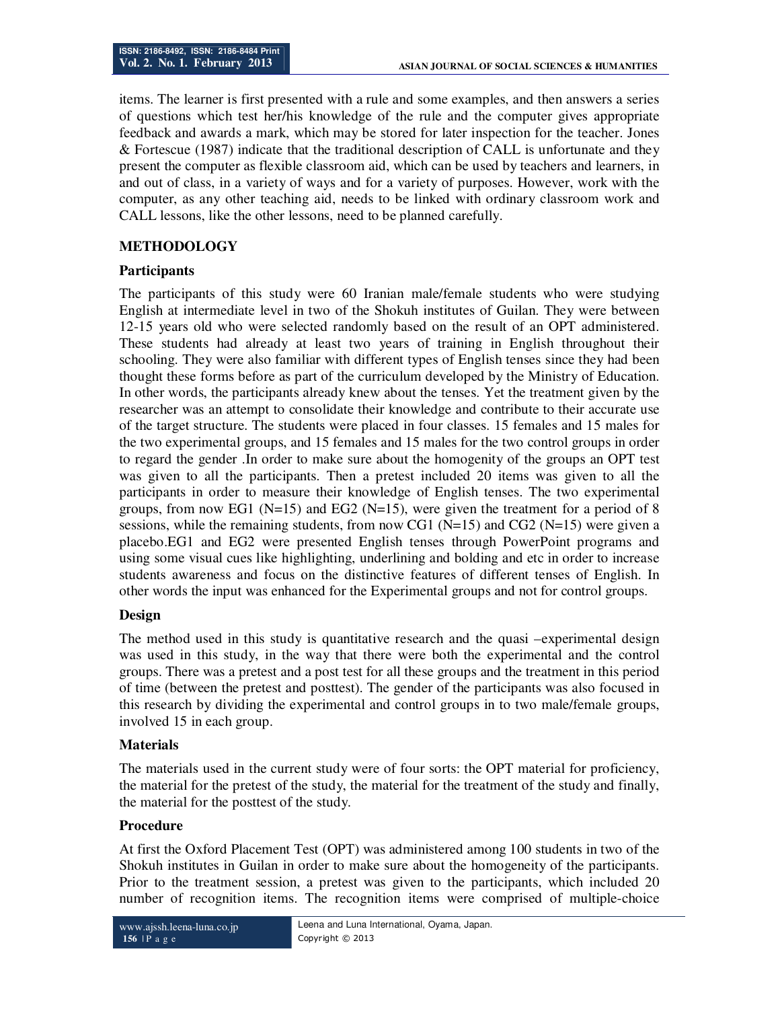items. The learner is first presented with a rule and some examples, and then answers a series of questions which test her/his knowledge of the rule and the computer gives appropriate feedback and awards a mark, which may be stored for later inspection for the teacher. Jones & Fortescue (1987) indicate that the traditional description of CALL is unfortunate and they present the computer as flexible classroom aid, which can be used by teachers and learners, in and out of class, in a variety of ways and for a variety of purposes. However, work with the computer, as any other teaching aid, needs to be linked with ordinary classroom work and CALL lessons, like the other lessons, need to be planned carefully.

## **METHODOLOGY**

## **Participants**

The participants of this study were 60 Iranian male/female students who were studying English at intermediate level in two of the Shokuh institutes of Guilan. They were between 12-15 years old who were selected randomly based on the result of an OPT administered. These students had already at least two years of training in English throughout their schooling. They were also familiar with different types of English tenses since they had been thought these forms before as part of the curriculum developed by the Ministry of Education. In other words, the participants already knew about the tenses. Yet the treatment given by the researcher was an attempt to consolidate their knowledge and contribute to their accurate use of the target structure. The students were placed in four classes. 15 females and 15 males for the two experimental groups, and 15 females and 15 males for the two control groups in order to regard the gender .In order to make sure about the homogenity of the groups an OPT test was given to all the participants. Then a pretest included 20 items was given to all the participants in order to measure their knowledge of English tenses. The two experimental groups, from now EG1 ( $N=15$ ) and EG2 ( $N=15$ ), were given the treatment for a period of 8 sessions, while the remaining students, from now CG1 ( $N=15$ ) and CG2 ( $N=15$ ) were given a placebo.EG1 and EG2 were presented English tenses through PowerPoint programs and using some visual cues like highlighting, underlining and bolding and etc in order to increase students awareness and focus on the distinctive features of different tenses of English. In other words the input was enhanced for the Experimental groups and not for control groups.

## **Design**

The method used in this study is quantitative research and the quasi –experimental design was used in this study, in the way that there were both the experimental and the control groups. There was a pretest and a post test for all these groups and the treatment in this period of time (between the pretest and posttest). The gender of the participants was also focused in this research by dividing the experimental and control groups in to two male/female groups, involved 15 in each group.

## **Materials**

The materials used in the current study were of four sorts: the OPT material for proficiency, the material for the pretest of the study, the material for the treatment of the study and finally, the material for the posttest of the study.

### **Procedure**

At first the Oxford Placement Test (OPT) was administered among 100 students in two of the Shokuh institutes in Guilan in order to make sure about the homogeneity of the participants. Prior to the treatment session, a pretest was given to the participants, which included 20 number of recognition items. The recognition items were comprised of multiple-choice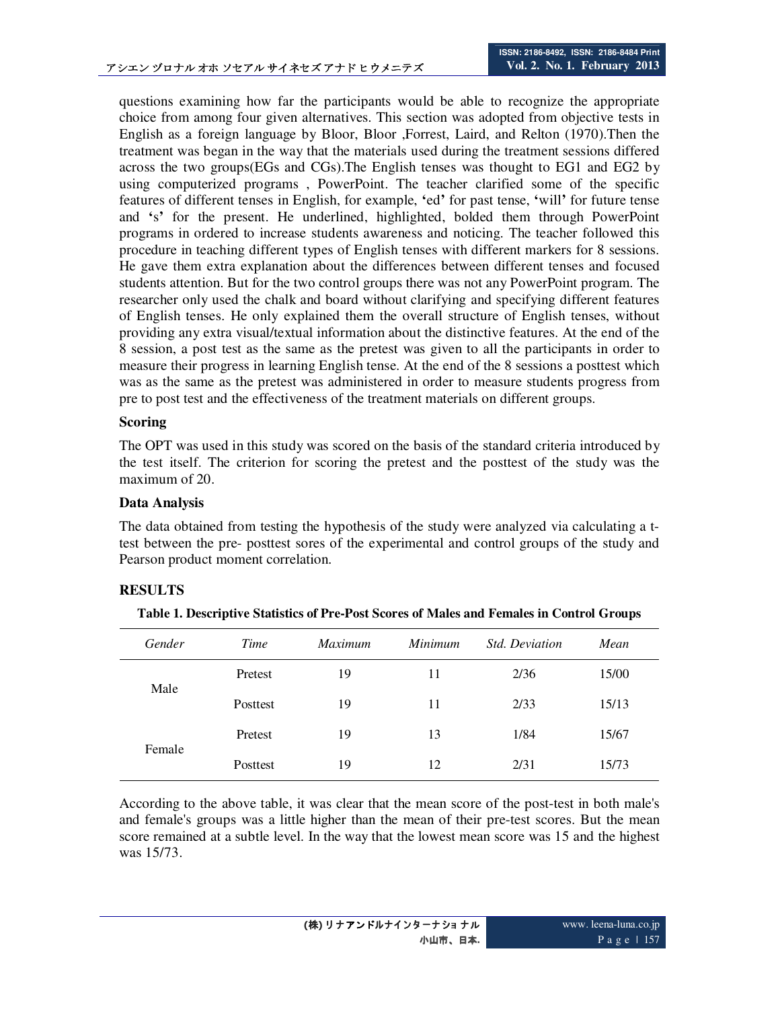questions examining how far the participants would be able to recognize the appropriate choice from among four given alternatives. This section was adopted from objective tests in English as a foreign language by Bloor, Bloor ,Forrest, Laird, and Relton (1970).Then the treatment was began in the way that the materials used during the treatment sessions differed across the two groups(EGs and CGs).The English tenses was thought to EG1 and EG2 by using computerized programs , PowerPoint. The teacher clarified some of the specific features of different tenses in English, for example, **'**ed**'** for past tense, **'**will**'** for future tense and **'**s**'** for the present. He underlined, highlighted, bolded them through PowerPoint programs in ordered to increase students awareness and noticing. The teacher followed this procedure in teaching different types of English tenses with different markers for 8 sessions. He gave them extra explanation about the differences between different tenses and focused students attention. But for the two control groups there was not any PowerPoint program. The researcher only used the chalk and board without clarifying and specifying different features of English tenses. He only explained them the overall structure of English tenses, without providing any extra visual/textual information about the distinctive features. At the end of the 8 session, a post test as the same as the pretest was given to all the participants in order to measure their progress in learning English tense. At the end of the 8 sessions a posttest which was as the same as the pretest was administered in order to measure students progress from pre to post test and the effectiveness of the treatment materials on different groups.

### **Scoring**

The OPT was used in this study was scored on the basis of the standard criteria introduced by the test itself. The criterion for scoring the pretest and the posttest of the study was the maximum of 20.

### **Data Analysis**

The data obtained from testing the hypothesis of the study were analyzed via calculating a ttest between the pre- posttest sores of the experimental and control groups of the study and Pearson product moment correlation.

## **RESULTS**

| Gender | Time     | <i>Maximum</i> | <i>Minimum</i> | <b>Std.</b> Deviation | Mean  |
|--------|----------|----------------|----------------|-----------------------|-------|
| Male   | Pretest  | 19             | 11             | 2/36                  | 15/00 |
|        | Posttest | 19             | 11             | 2/33                  | 15/13 |
| Female | Pretest  | 19             | 13             | 1/84                  | 15/67 |
|        | Posttest | 19             | 12             | 2/31                  | 15/73 |

**Table 1. Descriptive Statistics of Pre-Post Scores of Males and Females in Control Groups** 

According to the above table, it was clear that the mean score of the post-test in both male's and female's groups was a little higher than the mean of their pre-test scores. But the mean score remained at a subtle level. In the way that the lowest mean score was 15 and the highest was 15/73.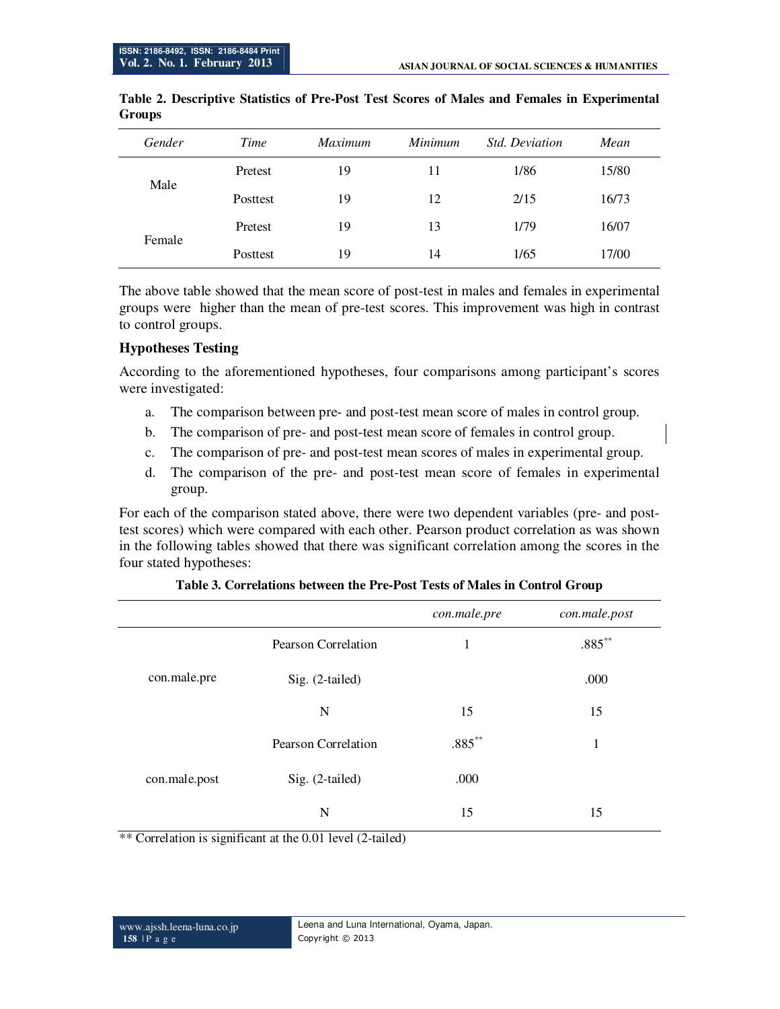| Gender | Time     | Maximum | Minimum | <b>Std. Deviation</b> | Mean  |
|--------|----------|---------|---------|-----------------------|-------|
| Male   | Pretest  | 19      | 11      | 1/86                  | 15/80 |
|        | Posttest | 19      | 12      | 2/15                  | 16/73 |
| Female | Pretest  | 19      | 13      | 1/79                  | 16/07 |
|        | Posttest | 19      | 14      | 1/65                  | 17/00 |

### **Table 2. Descriptive Statistics of Pre-Post Test Scores of Males and Females in Experimental Groups**

The above table showed that the mean score of post-test in males and females in experimental groups were higher than the mean of pre-test scores. This improvement was high in contrast to control groups.

## **Hypotheses Testing**

According to the aforementioned hypotheses, four comparisons among participant's scores were investigated:

- a. The comparison between pre- and post-test mean score of males in control group.
- b. The comparison of pre- and post-test mean score of females in control group.
- c. The comparison of pre- and post-test mean scores of males in experimental group.
- d. The comparison of the pre- and post-test mean score of females in experimental group.

For each of the comparison stated above, there were two dependent variables (pre- and posttest scores) which were compared with each other. Pearson product correlation as was shown in the following tables showed that there was significant correlation among the scores in the four stated hypotheses:

|               |                     | con.male.pre | con.male.post |
|---------------|---------------------|--------------|---------------|
|               | Pearson Correlation | 1            | $.885***$     |
| con.male.pre  | Sig. (2-tailed)     |              | .000          |
|               | N                   | 15           | 15            |
|               | Pearson Correlation | $.885***$    | $\mathbf{1}$  |
| con.male.post | Sig. (2-tailed)     | .000         |               |
|               | N                   | 15           | 15            |

| Table 3. Correlations between the Pre-Post Tests of Males in Control Group |
|----------------------------------------------------------------------------|
|----------------------------------------------------------------------------|

\*\* Correlation is significant at the 0.01 level (2-tailed)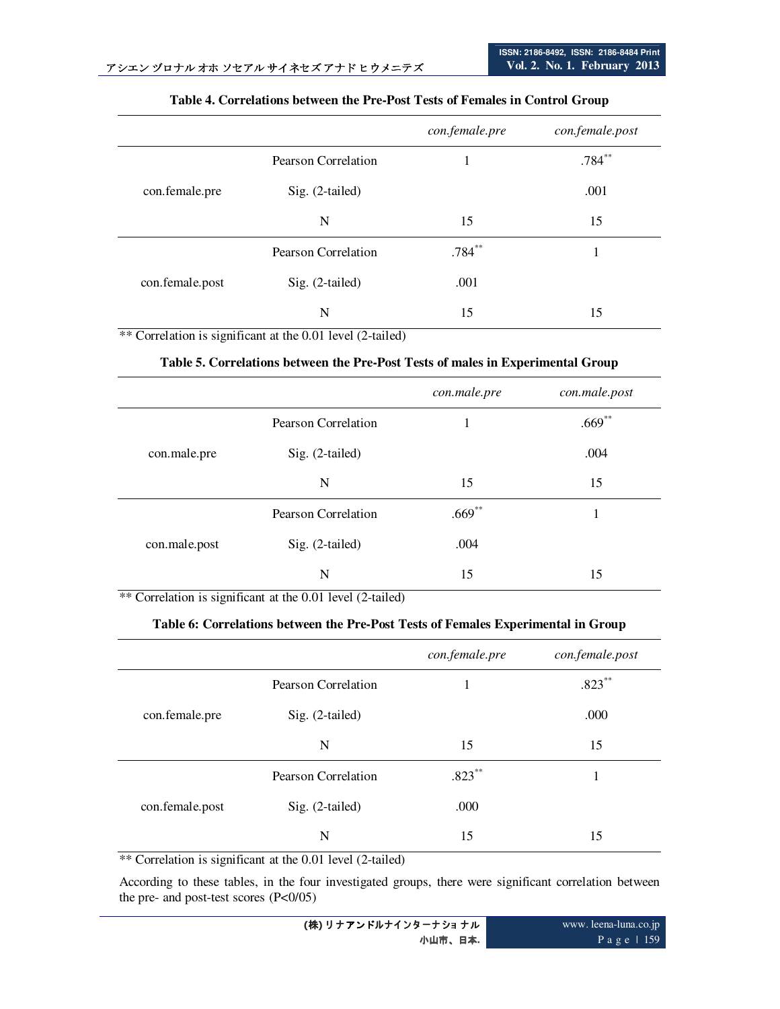|                 |                     | con.female.pre | con.female.post |
|-----------------|---------------------|----------------|-----------------|
|                 | Pearson Correlation | 1              | $.784**$        |
| con.female.pre  | Sig. (2-tailed)     |                | .001            |
|                 | N                   | 15             | 15              |
|                 | Pearson Correlation | $.784***$      |                 |
| con.female.post | Sig. (2-tailed)     | .001           |                 |
|                 | N                   | 15             | 15              |

#### **Table 4. Correlations between the Pre-Post Tests of Females in Control Group**

\*\* Correlation is significant at the 0.01 level (2-tailed)

#### **Table 5. Correlations between the Pre-Post Tests of males in Experimental Group**

|               |                     | con.male.pre | con.male.post |
|---------------|---------------------|--------------|---------------|
|               | Pearson Correlation |              | $.669**$      |
| con.male.pre  | Sig. (2-tailed)     |              | .004          |
|               | N                   | 15           | 15            |
| con.male.post | Pearson Correlation | $.669**$     | 1             |
|               | Sig. (2-tailed)     | .004         |               |
|               | N                   | 15           | 15            |

\*\* Correlation is significant at the 0.01 level (2-tailed)

### **Table 6: Correlations between the Pre-Post Tests of Females Experimental in Group**

|                 |                     | con.female.pre | con.female.post |
|-----------------|---------------------|----------------|-----------------|
|                 | Pearson Correlation |                | $.823***$       |
| con.female.pre  | Sig. (2-tailed)     |                | .000            |
|                 | N                   | 15             | 15              |
|                 | Pearson Correlation | $.823***$      |                 |
| con.female.post | Sig. (2-tailed)     | .000           |                 |
|                 | N                   | 15             | 15              |

\*\* Correlation is significant at the 0.01 level (2-tailed)

According to these tables, in the four investigated groups, there were significant correlation between the pre- and post-test scores (P<0/05)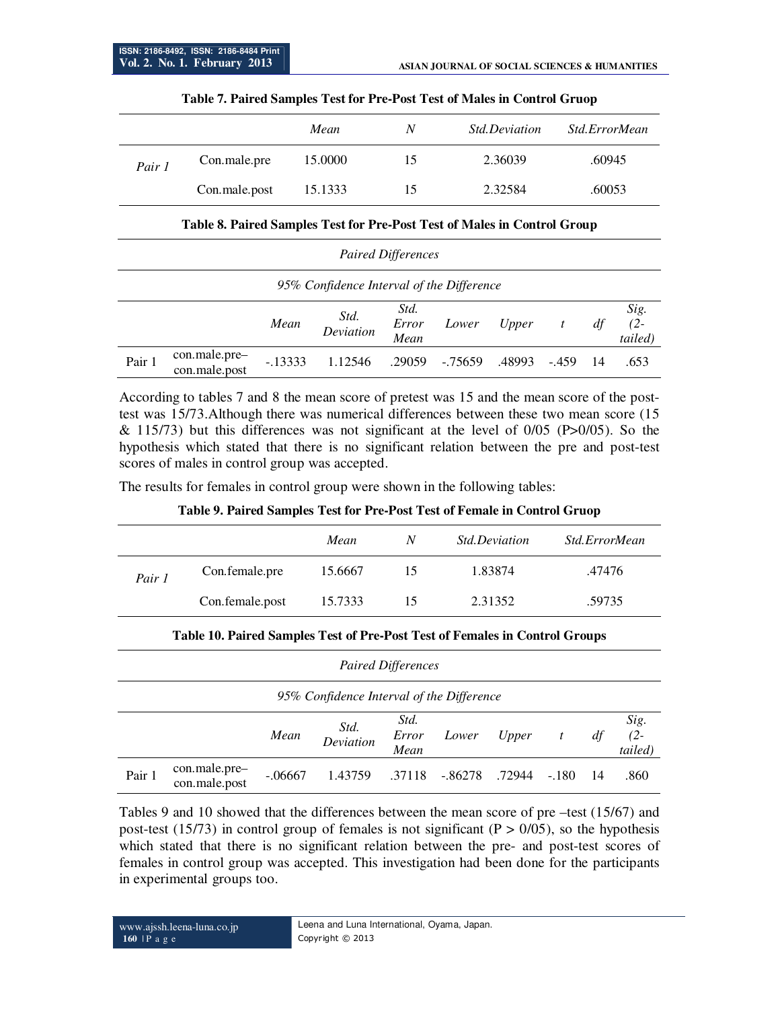|        |               | Mean    | N  | <i>Std.Deviation</i> | Std.ErrorMean |
|--------|---------------|---------|----|----------------------|---------------|
| Pair 1 | Con.male.pre  | 15.0000 | 15 | 2.36039              | .60945        |
|        | Con.male.post | 15.1333 | 15 | 2.32584              | .60053        |

#### **Table 7. Paired Samples Test for Pre-Post Test of Males in Control Gruop**

#### **Table 8. Paired Samples Test for Pre-Post Test of Males in Control Group**

|                                           | <b>Paired Differences</b>      |           |                   |                       |         |        |         |     |                           |
|-------------------------------------------|--------------------------------|-----------|-------------------|-----------------------|---------|--------|---------|-----|---------------------------|
| 95% Confidence Interval of the Difference |                                |           |                   |                       |         |        |         |     |                           |
|                                           |                                | Mean      | Std.<br>Deviation | Std.<br>Error<br>Mean | Lower   | Upper  | t       | df  | Sig.<br>$(2 -$<br>tailed) |
| Pair 1                                    | con.male.pre-<br>con.male.post | $-.13333$ | 1.12546           | .29059                | -.75659 | .48993 | $-.459$ | -14 | .653                      |

According to tables 7 and 8 the mean score of pretest was 15 and the mean score of the posttest was 15/73.Although there was numerical differences between these two mean score (15  $\&$  115/73) but this differences was not significant at the level of 0/05 (P $>0/05$ ). So the hypothesis which stated that there is no significant relation between the pre and post-test scores of males in control group was accepted.

The results for females in control group were shown in the following tables:

**Table 9. Paired Samples Test for Pre-Post Test of Female in Control Gruop** 

|        |                 | Mean    | N  | <i>Std.Deviation</i> | Std.ErrorMean |
|--------|-----------------|---------|----|----------------------|---------------|
| Pair 1 | Con.female.pre  | 15.6667 | 15 | 1.83874              | .47476        |
|        | Con.female.post | 15.7333 | 15 | 2.31352              | .59735        |

#### **Table 10. Paired Samples Test of Pre-Post Test of Females in Control Groups**

| <b>Paired Differences</b>                 |                                |           |                   |                       |         |        |                |    |                           |
|-------------------------------------------|--------------------------------|-----------|-------------------|-----------------------|---------|--------|----------------|----|---------------------------|
| 95% Confidence Interval of the Difference |                                |           |                   |                       |         |        |                |    |                           |
|                                           |                                | Mean      | Std.<br>Deviation | Std.<br>Error<br>Mean | Lower   | Upper  | $\mathfrak{t}$ | df | Sig.<br>$(2 -$<br>tailed) |
| Pair 1                                    | con.male.pre-<br>con.male.post | $-.06667$ | 1.43759           | .37118                | -.86278 | .72944 | $-.180$        | 14 | .860                      |

Tables 9 and 10 showed that the differences between the mean score of pre –test (15/67) and post-test (15/73) in control group of females is not significant ( $P > 0/05$ ), so the hypothesis which stated that there is no significant relation between the pre- and post-test scores of females in control group was accepted. This investigation had been done for the participants in experimental groups too.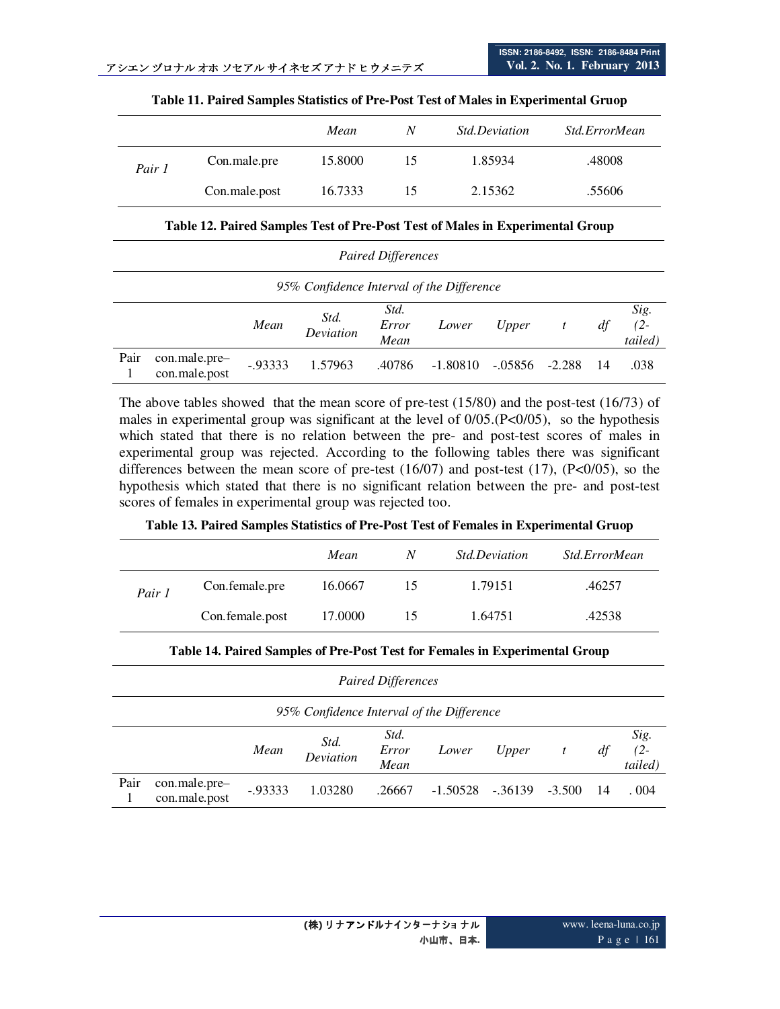|        |               | Mean    | N  | <i>Std.Deviation</i> | Std.ErrorMean |
|--------|---------------|---------|----|----------------------|---------------|
| Pair 1 | Con.male.pre  | 15.8000 | 15 | 1.85934              | .48008        |
|        | Con.male.post | 16.7333 | 15 | 2.15362              | .55606        |

#### **Table 11. Paired Samples Statistics of Pre-Post Test of Males in Experimental Gruop**

#### **Table 12. Paired Samples Test of Pre-Post Test of Males in Experimental Group**

| <b>Paired Differences</b>                 |                                |            |                   |                       |            |            |          |    |                           |
|-------------------------------------------|--------------------------------|------------|-------------------|-----------------------|------------|------------|----------|----|---------------------------|
| 95% Confidence Interval of the Difference |                                |            |                   |                       |            |            |          |    |                           |
|                                           |                                | Mean       | Std.<br>Deviation | Std.<br>Error<br>Mean | Lower      | Upper      |          | df | Sig.<br>$(2 -$<br>tailed) |
| Pair                                      | con.male.pre-<br>con.male.post | $-0.93333$ | 1.57963           | .40786                | $-1.80810$ | $-0.05856$ | $-2.288$ | 14 | .038                      |

The above tables showed that the mean score of pre-test (15/80) and the post-test (16/73) of males in experimental group was significant at the level of 0/05.(P<0/05), so the hypothesis which stated that there is no relation between the pre- and post-test scores of males in experimental group was rejected. According to the following tables there was significant differences between the mean score of pre-test  $(16/07)$  and post-test  $(17)$ ,  $(P<0/05)$ , so the hypothesis which stated that there is no significant relation between the pre- and post-test scores of females in experimental group was rejected too.

#### **Table 13. Paired Samples Statistics of Pre-Post Test of Females in Experimental Gruop**

|        |                 | Mean    | N  | <i>Std.Deviation</i> | Std.ErrorMean |
|--------|-----------------|---------|----|----------------------|---------------|
| Pair 1 | Con.female.pre  | 16.0667 | 15 | 1.79151              | .46257        |
|        | Con.female.post | 17.0000 | 15 | 1.64751              | .42538        |

| <b>Paired Differences</b>                 |                                |            |                   |                       |            |         |          |     |                           |
|-------------------------------------------|--------------------------------|------------|-------------------|-----------------------|------------|---------|----------|-----|---------------------------|
| 95% Confidence Interval of the Difference |                                |            |                   |                       |            |         |          |     |                           |
|                                           |                                | Mean       | Std.<br>Deviation | Std.<br>Error<br>Mean | Lower      | Upper   | t        | df  | Sig.<br>$(2 -$<br>tailed) |
| Pair                                      | con.male.pre-<br>con.male.post | $-0.93333$ | 1.03280           | .26667                | $-1.50528$ | -.36139 | $-3.500$ | -14 | 0.004                     |

#### **Table 14. Paired Samples of Pre-Post Test for Females in Experimental Group**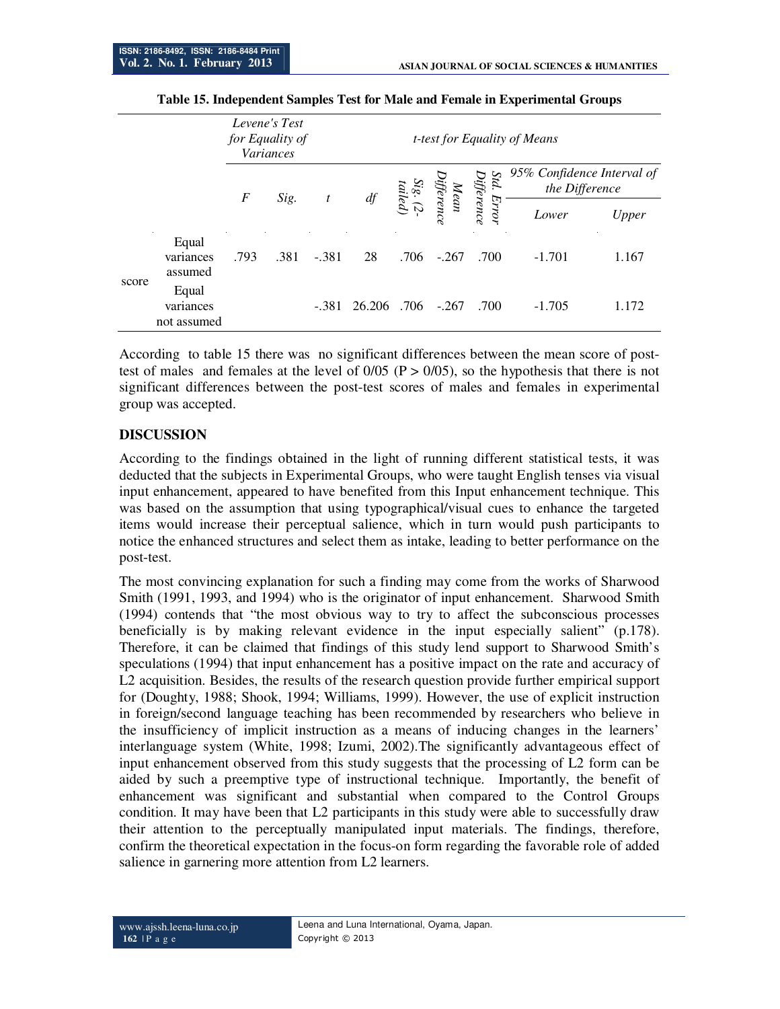|       |                                   | for Equality of  | Levene's Test<br><i>Variances</i> |         |        | <i>t-test for Equality of Means</i> |                                                |      |                                              |       |  |
|-------|-----------------------------------|------------------|-----------------------------------|---------|--------|-------------------------------------|------------------------------------------------|------|----------------------------------------------|-------|--|
|       |                                   | $\boldsymbol{F}$ | Sig.                              |         | $d\!f$ | $\ddot{Sig}.$ (2:<br>tailed)        | Std. Error<br>Difference<br>Mean<br>Difference |      | 95% Confidence Interval of<br>the Difference |       |  |
|       |                                   |                  |                                   |         |        |                                     |                                                |      | Lower                                        | Upper |  |
| score | Equal<br>variances<br>assumed     | .793             | .381                              | $-.381$ | 28     | .706                                | $-.267$                                        | .700 | $-1.701$                                     | 1.167 |  |
|       | Equal<br>variances<br>not assumed |                  |                                   | $-381$  | 26.206 | .706                                | $-.267$                                        | .700 | $-1.705$                                     | .172  |  |

#### **Table 15. Independent Samples Test for Male and Female in Experimental Groups**

According to table 15 there was no significant differences between the mean score of posttest of males and females at the level of  $0/05$  ( $P > 0/05$ ), so the hypothesis that there is not significant differences between the post-test scores of males and females in experimental group was accepted.

### **DISCUSSION**

According to the findings obtained in the light of running different statistical tests, it was deducted that the subjects in Experimental Groups, who were taught English tenses via visual input enhancement, appeared to have benefited from this Input enhancement technique. This was based on the assumption that using typographical/visual cues to enhance the targeted items would increase their perceptual salience, which in turn would push participants to notice the enhanced structures and select them as intake, leading to better performance on the post-test.

The most convincing explanation for such a finding may come from the works of Sharwood Smith (1991, 1993, and 1994) who is the originator of input enhancement. Sharwood Smith (1994) contends that "the most obvious way to try to affect the subconscious processes beneficially is by making relevant evidence in the input especially salient" (p.178). Therefore, it can be claimed that findings of this study lend support to Sharwood Smith's speculations (1994) that input enhancement has a positive impact on the rate and accuracy of L2 acquisition. Besides, the results of the research question provide further empirical support for (Doughty, 1988; Shook, 1994; Williams, 1999). However, the use of explicit instruction in foreign/second language teaching has been recommended by researchers who believe in the insufficiency of implicit instruction as a means of inducing changes in the learners' interlanguage system (White, 1998; Izumi, 2002).The significantly advantageous effect of input enhancement observed from this study suggests that the processing of L2 form can be aided by such a preemptive type of instructional technique. Importantly, the benefit of enhancement was significant and substantial when compared to the Control Groups condition. It may have been that L2 participants in this study were able to successfully draw their attention to the perceptually manipulated input materials. The findings, therefore, confirm the theoretical expectation in the focus-on form regarding the favorable role of added salience in garnering more attention from L2 learners.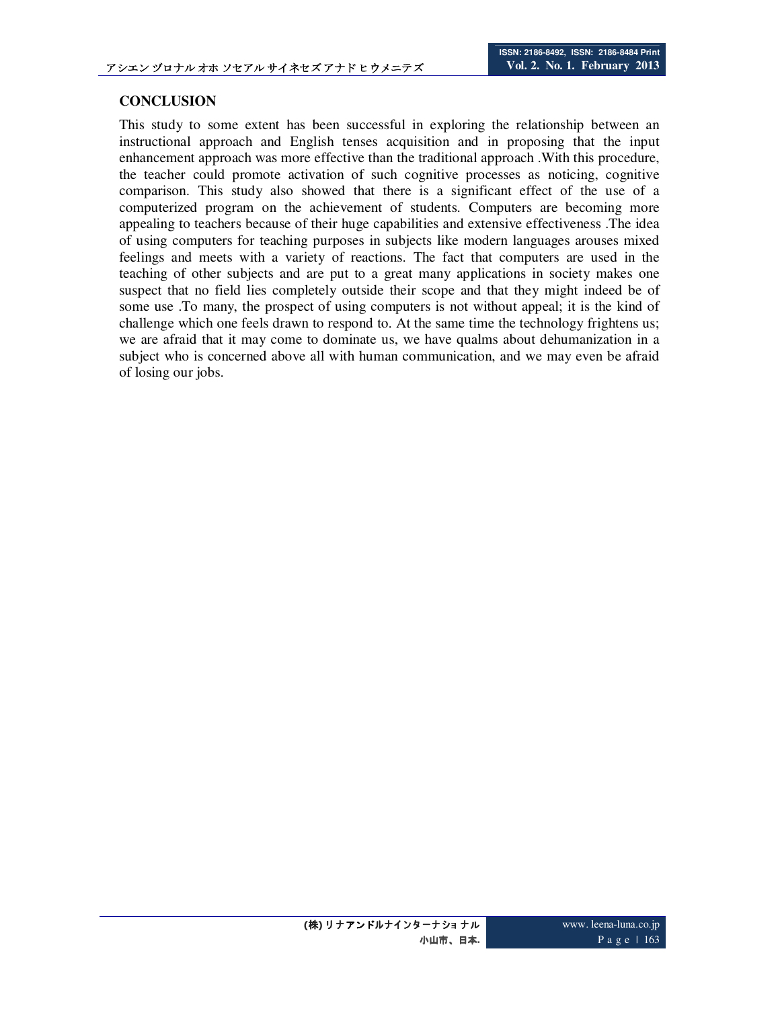## **CONCLUSION**

This study to some extent has been successful in exploring the relationship between an instructional approach and English tenses acquisition and in proposing that the input enhancement approach was more effective than the traditional approach .With this procedure, the teacher could promote activation of such cognitive processes as noticing, cognitive comparison. This study also showed that there is a significant effect of the use of a computerized program on the achievement of students. Computers are becoming more appealing to teachers because of their huge capabilities and extensive effectiveness .The idea of using computers for teaching purposes in subjects like modern languages arouses mixed feelings and meets with a variety of reactions. The fact that computers are used in the teaching of other subjects and are put to a great many applications in society makes one suspect that no field lies completely outside their scope and that they might indeed be of some use .To many, the prospect of using computers is not without appeal; it is the kind of challenge which one feels drawn to respond to. At the same time the technology frightens us; we are afraid that it may come to dominate us, we have qualms about dehumanization in a subject who is concerned above all with human communication, and we may even be afraid of losing our jobs.